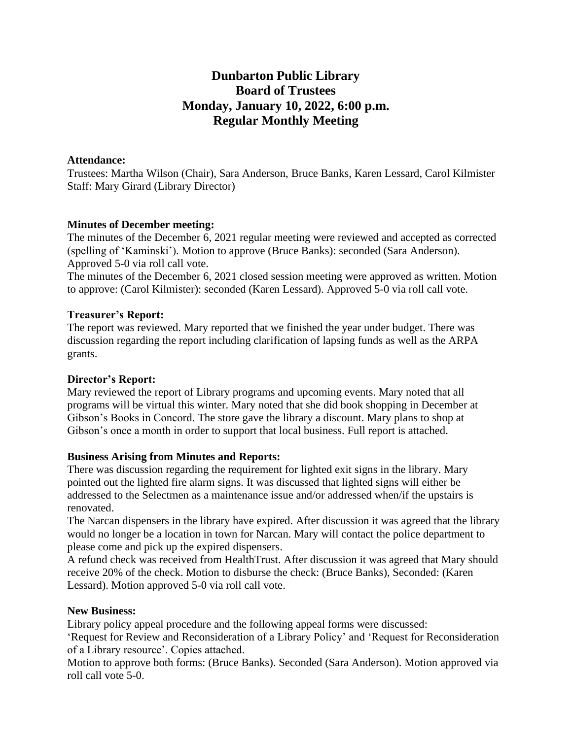# **Dunbarton Public Library Board of Trustees Monday, January 10, 2022, 6:00 p.m. Regular Monthly Meeting**

#### **Attendance:**

Trustees: Martha Wilson (Chair), Sara Anderson, Bruce Banks, Karen Lessard, Carol Kilmister Staff: Mary Girard (Library Director)

#### **Minutes of December meeting:**

The minutes of the December 6, 2021 regular meeting were reviewed and accepted as corrected (spelling of 'Kaminski'). Motion to approve (Bruce Banks): seconded (Sara Anderson). Approved 5-0 via roll call vote.

The minutes of the December 6, 2021 closed session meeting were approved as written. Motion to approve: (Carol Kilmister): seconded (Karen Lessard). Approved 5-0 via roll call vote.

## **Treasurer's Report:**

The report was reviewed. Mary reported that we finished the year under budget. There was discussion regarding the report including clarification of lapsing funds as well as the ARPA grants.

#### **Director's Report:**

Mary reviewed the report of Library programs and upcoming events. Mary noted that all programs will be virtual this winter. Mary noted that she did book shopping in December at Gibson's Books in Concord. The store gave the library a discount. Mary plans to shop at Gibson's once a month in order to support that local business. Full report is attached.

#### **Business Arising from Minutes and Reports:**

There was discussion regarding the requirement for lighted exit signs in the library. Mary pointed out the lighted fire alarm signs. It was discussed that lighted signs will either be addressed to the Selectmen as a maintenance issue and/or addressed when/if the upstairs is renovated.

The Narcan dispensers in the library have expired. After discussion it was agreed that the library would no longer be a location in town for Narcan. Mary will contact the police department to please come and pick up the expired dispensers.

A refund check was received from HealthTrust. After discussion it was agreed that Mary should receive 20% of the check. Motion to disburse the check: (Bruce Banks), Seconded: (Karen Lessard). Motion approved 5-0 via roll call vote.

#### **New Business:**

Library policy appeal procedure and the following appeal forms were discussed:

'Request for Review and Reconsideration of a Library Policy' and 'Request for Reconsideration of a Library resource'. Copies attached.

Motion to approve both forms: (Bruce Banks). Seconded (Sara Anderson). Motion approved via roll call vote 5-0.